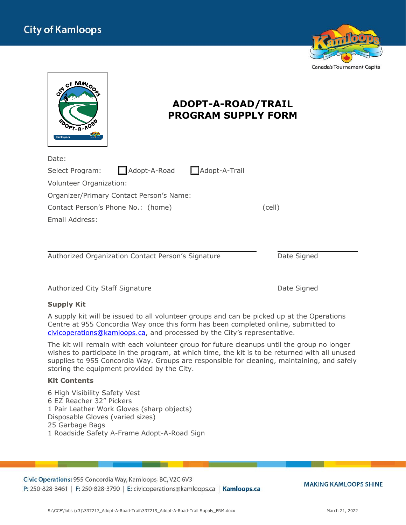

| OF KAMLO<br>O <sub>PT-R</sub> O<br>Kamloops.ca     | <b>ADOPT-A-ROAD/TRAIL</b><br><b>PROGRAM SUPPLY FORM</b> |             |        |  |
|----------------------------------------------------|---------------------------------------------------------|-------------|--------|--|
| Date:                                              |                                                         |             |        |  |
| Adopt-A-Road<br>Adopt-A-Trail<br>Select Program:   |                                                         |             |        |  |
| Volunteer Organization:                            |                                                         |             |        |  |
| Organizer/Primary Contact Person's Name:           |                                                         |             |        |  |
| Contact Person's Phone No.: (home)                 |                                                         |             | (cell) |  |
| Email Address:                                     |                                                         |             |        |  |
| Authorized Organization Contact Person's Signature |                                                         | Date Signed |        |  |
|                                                    |                                                         |             |        |  |

Authorized City Staff Signature **Date Signature Date Signed** 

## **Supply Kit**

A supply kit will be issued to all volunteer groups and can be picked up at the Operations Centre at 955 Concordia Way once this form has been completed online, submitted to civicoperatio[ns@kamloops.ca,](mailto:civicoperations@kamloops.ca) and processed by the City's representative.

The kit will remain with each volunteer group for future cleanups until the group no longer wishes to participate in the program, at which time, the kit is to be returned with all unused supplies to 955 Concordia Way. Groups are responsible for cleaning, maintaining, and safely storing the equipment provided by the City.

## **Kit Contents**

6 High Visibility Safety Vest 6 EZ Reacher 32" Pickers 1 Pair Leather Work Gloves (sharp objects) Disposable Gloves (varied sizes) 25 Garbage Bags 1 Roadside Safety A-Frame Adopt-A-Road Sign

Civic Operations: 955 Concordia Way, Kamloops, BC, V2C 6V3 P: 250-828-3461 | F: 250-828-3790 | E: civicoperations@kamloops.ca | Kamloops.ca

**MAKING KAMLOOPS SHINE**